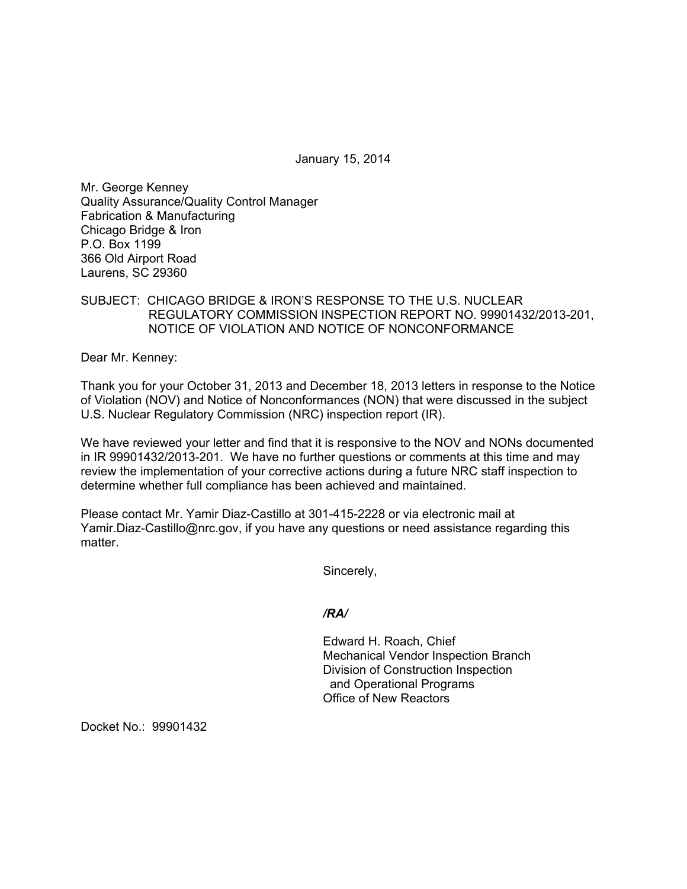January 15, 2014

Mr. George Kenney Quality Assurance/Quality Control Manager Fabrication & Manufacturing Chicago Bridge & Iron P.O. Box 1199 366 Old Airport Road Laurens, SC 29360

## SUBJECT: CHICAGO BRIDGE & IRON'S RESPONSE TO THE U.S. NUCLEAR REGULATORY COMMISSION INSPECTION REPORT NO. 99901432/2013-201, NOTICE OF VIOLATION AND NOTICE OF NONCONFORMANCE

Dear Mr. Kenney:

Thank you for your October 31, 2013 and December 18, 2013 letters in response to the Notice of Violation (NOV) and Notice of Nonconformances (NON) that were discussed in the subject U.S. Nuclear Regulatory Commission (NRC) inspection report (IR).

We have reviewed your letter and find that it is responsive to the NOV and NONs documented in IR 99901432/2013-201. We have no further questions or comments at this time and may review the implementation of your corrective actions during a future NRC staff inspection to determine whether full compliance has been achieved and maintained.

Please contact Mr. Yamir Diaz-Castillo at 301-415-2228 or via electronic mail at Yamir.Diaz-Castillo@nrc.gov, if you have any questions or need assistance regarding this matter.

Sincerely,

*/RA/* 

Edward H. Roach, Chief Mechanical Vendor Inspection Branch Division of Construction Inspection and Operational Programs Office of New Reactors

Docket No.: 99901432